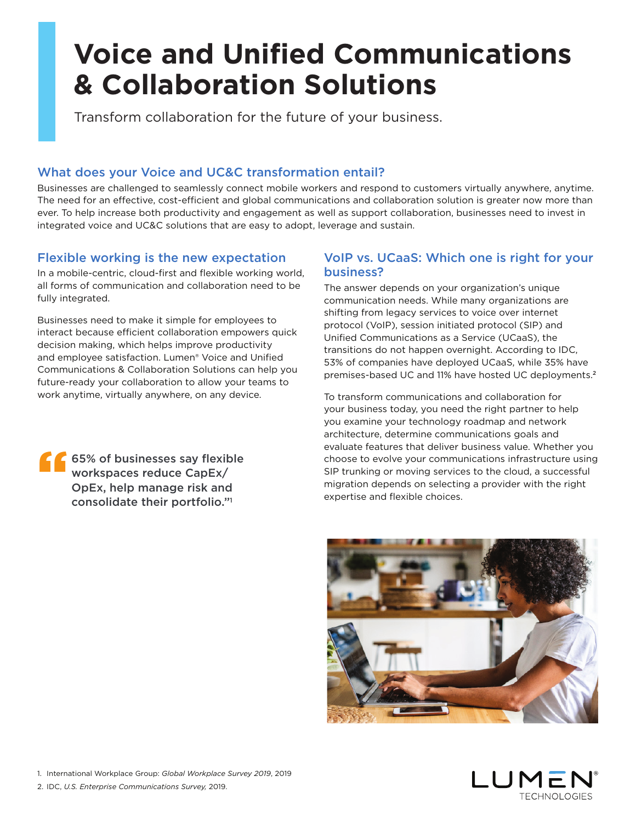# **Voice and Unified Communications & Collaboration Solutions**

Transform collaboration for the future of your business.

# What does your Voice and UC&C transformation entail?

Businesses are challenged to seamlessly connect mobile workers and respond to customers virtually anywhere, anytime. The need for an effective, cost-efficient and global communications and collaboration solution is greater now more than ever. To help increase both productivity and engagement as well as support collaboration, businesses need to invest in integrated voice and UC&C solutions that are easy to adopt, leverage and sustain.

## Flexible working is the new expectation

In a mobile-centric, cloud-first and flexible working world, all forms of communication and collaboration need to be fully integrated.

Businesses need to make it simple for employees to interact because efficient collaboration empowers quick decision making, which helps improve productivity and employee satisfaction. Lumen® Voice and Unified Communications & Collaboration Solutions can help you future-ready your collaboration to allow your teams to work anytime, virtually anywhere, on any device.

### VoIP vs. UCaaS: Which one is right for your business?

The answer depends on your organization's unique communication needs. While many organizations are shifting from legacy services to voice over internet protocol (VoIP), session initiated protocol (SIP) and Unified Communications as a Service (UCaaS), the transitions do not happen overnight. According to IDC, 53% of companies have deployed UCaaS, while 35% have premises-based UC and 11% have hosted UC deployments.<sup>2</sup>

To transform communications and collaboration for your business today, you need the right partner to help you examine your technology roadmap and network architecture, determine communications goals and evaluate features that deliver business value. Whether you choose to evolve your communications infrastructure using SIP trunking or moving services to the cloud, a successful migration depends on selecting a provider with the right expertise and flexible choices.





**65% of businesses say flexible** workspaces reduce CapEx/ OpEx, help manage risk and consolidate their portfolio." 1 "

2. IDC, *U.S. Enterprise Communications Survey,* 2019.